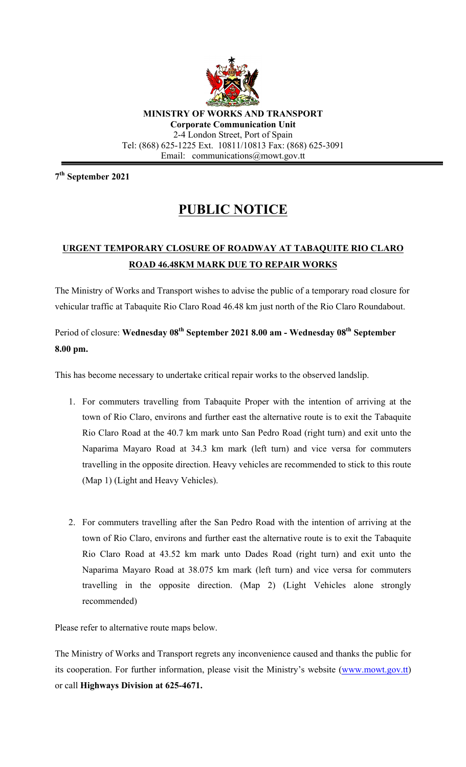

**MINISTRY OF WORKS AND TRANSPORT Corporate Communication Unit** 2-4 London Street, Port of Spain Tel: (868) 625-1225 Ext. 10811/10813 Fax: (868) 625-3091 Email: communications@mowt.gov.tt

**7th September 2021**

## **PUBLIC NOTICE**

## **URGENT TEMPORARY CLOSURE OF ROADWAY AT TABAQUITE RIO CLARO ROAD 46.48KM MARK DUE TO REPAIR WORKS**

The Ministry of Works and Transport wishes to advise the public of a temporary road closure for vehicular traffic at Tabaquite Rio Claro Road 46.48 km just north of the Rio Claro Roundabout.

## Period of closure: **Wednesday 08th September 2021 8.00 am - Wednesday 08th September 8.00 pm.**

This has become necessary to undertake critical repair works to the observed landslip.

- 1. For commuters travelling from Tabaquite Proper with the intention of arriving at the town of Rio Claro, environs and further east the alternative route is to exit the Tabaquite Rio Claro Road at the 40.7 km mark unto San Pedro Road (right turn) and exit unto the Naparima Mayaro Road at 34.3 km mark (left turn) and vice versa for commuters travelling in the opposite direction. Heavy vehicles are recommended to stick to this route (Map 1) (Light and Heavy Vehicles).
- 2. For commuters travelling after the San Pedro Road with the intention of arriving at the town of Rio Claro, environs and further east the alternative route is to exit the Tabaquite Rio Claro Road at 43.52 km mark unto Dades Road (right turn) and exit unto the Naparima Mayaro Road at 38.075 km mark (left turn) and vice versa for commuters travelling in the opposite direction. (Map 2) (Light Vehicles alone strongly recommended)

Please refer to alternative route maps below.

The Ministry of Works and Transport regrets any inconvenience caused and thanks the public for its cooperation. For further information, please visit the Ministry's website (www.mowt.gov.tt) or call **Highways Division at 625-4671.**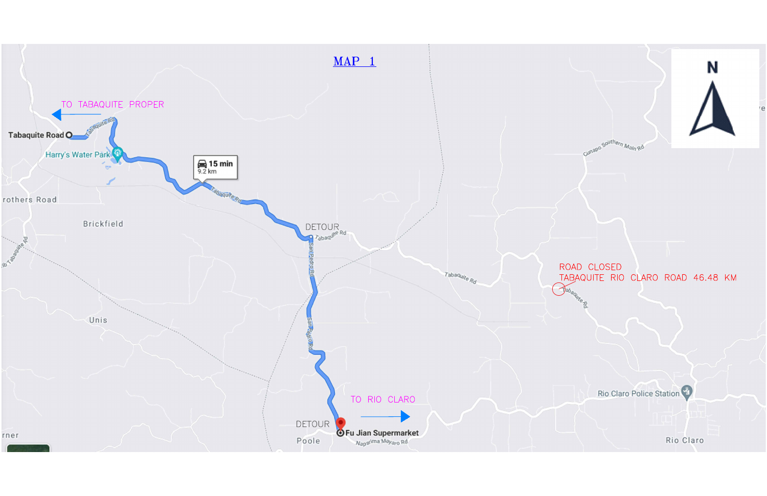



## ROAD CLOSED TABAQUITE RIO CLARO ROAD 46.48 KM

Cunapo Southern Main Ro

Rio Claro Police Station

Rio Claro